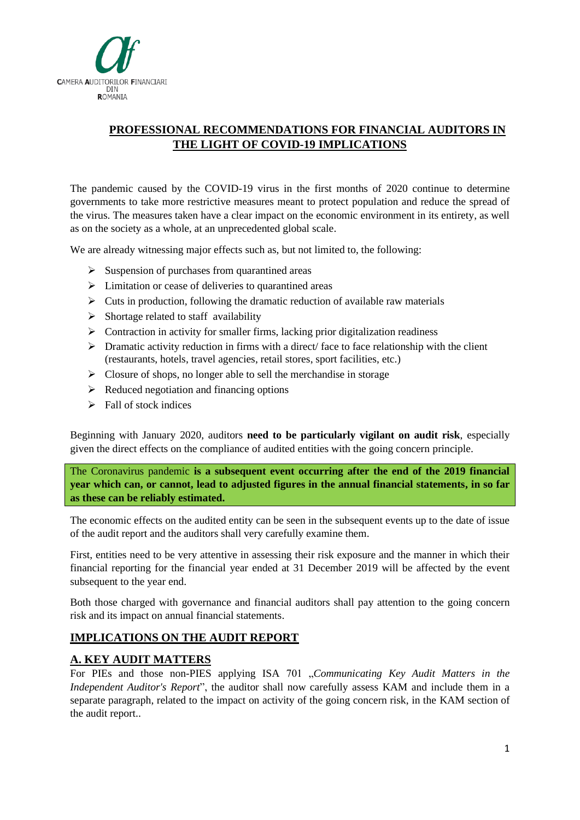

## **PROFESSIONAL RECOMMENDATIONS FOR FINANCIAL AUDITORS IN THE LIGHT OF COVID-19 IMPLICATIONS**

The pandemic caused by the COVID-19 virus in the first months of 2020 continue to determine governments to take more restrictive measures meant to protect population and reduce the spread of the virus. The measures taken have a clear impact on the economic environment in its entirety, as well as on the society as a whole, at an unprecedented global scale.

We are already witnessing major effects such as, but not limited to, the following:

- $\triangleright$  Suspension of purchases from quarantined areas
- ➢ Limitation or cease of deliveries to quarantined areas
- $\triangleright$  Cuts in production, following the dramatic reduction of available raw materials
- $\triangleright$  Shortage related to staff availability
- ➢ Contraction in activity for smaller firms, lacking prior digitalization readiness
- ➢ Dramatic activity reduction in firms with a direct/ face to face relationship with the client (restaurants, hotels, travel agencies, retail stores, sport facilities, etc.)
- $\triangleright$  Closure of shops, no longer able to sell the merchandise in storage
- $\triangleright$  Reduced negotiation and financing options
- $\triangleright$  Fall of stock indices

Beginning with January 2020, auditors **need to be particularly vigilant on audit risk**, especially given the direct effects on the compliance of audited entities with the going concern principle.

The Coronavirus pandemic **is a subsequent event occurring after the end of the 2019 financial year which can, or cannot, lead to adjusted figures in the annual financial statements, in so far as these can be reliably estimated.** 

The economic effects on the audited entity can be seen in the subsequent events up to the date of issue of the audit report and the auditors shall very carefully examine them.

First, entities need to be very attentive in assessing their risk exposure and the manner in which their financial reporting for the financial year ended at 31 December 2019 will be affected by the event subsequent to the year end.

Both those charged with governance and financial auditors shall pay attention to the going concern risk and its impact on annual financial statements.

## **IMPLICATIONS ON THE AUDIT REPORT**

## **A. KEY AUDIT MATTERS**

For PIEs and those non-PIES applying ISA 701 "*Communicating Key Audit Matters in the Independent Auditor's Report*", the auditor shall now carefully assess KAM and include them in a separate paragraph, related to the impact on activity of the going concern risk, in the KAM section of the audit report..